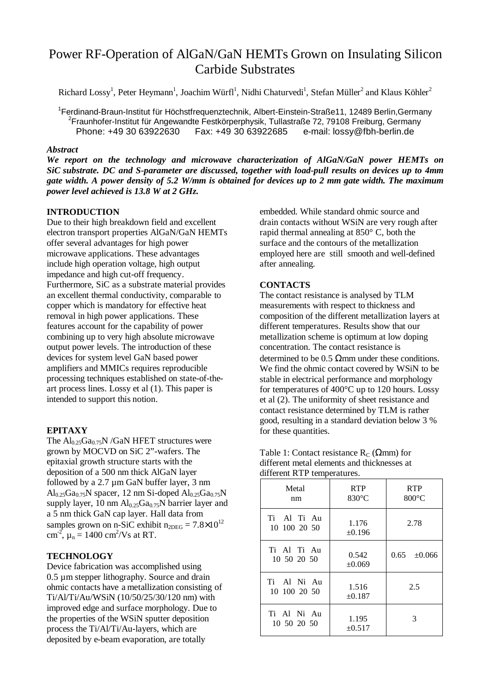# Power RF-Operation of AlGaN/GaN HEMTs Grown on Insulating Silicon Carbide Substrates

Richard Lossy<sup>1</sup>, Peter Heymann<sup>1</sup>, Joachim Würfl<sup>1</sup>, Nidhi Chaturvedi<sup>1</sup>, Stefan Müller<sup>2</sup> and Klaus Köhler<sup>2</sup>

<sup>1</sup>Ferdinand-Braun-Institut für Höchstfrequenztechnik, Albert-Einstein-Straße11, 12489 Berlin,Germany<br><sup>2</sup>Ereuphofer Institut für Angewendte Festkörnernbusik, Tullestraße 73, 70108 Freiburg, Germany  $2$ Fraunhofer-Institut für Angewandte Festkörperphysik, Tullastraße 72, 79108 Freiburg, Germany Phone: +49 30 63922630 Fax: +49 30 63922685 e-mail: lossy@fbh-berlin.de

## *Abstract*

*We report on the technology and microwave characterization of AlGaN/GaN power HEMTs on SiC substrate. DC and S-parameter are discussed, together with load-pull results on devices up to 4mm gate width. A power density of 5.2 W/mm is obtained for devices up to 2 mm gate width. The maximum power level achieved is 13.8 W at 2 GHz.* 

# **INTRODUCTION**

Due to their high breakdown field and excellent electron transport properties AlGaN/GaN HEMTs offer several advantages for high power microwave applications. These advantages include high operation voltage, high output impedance and high cut-off frequency. Furthermore, SiC as a substrate material provides an excellent thermal conductivity, comparable to copper which is mandatory for effective heat removal in high power applications. These features account for the capability of power combining up to very high absolute microwave output power levels. The introduction of these devices for system level GaN based power amplifiers and MMICs requires reproducible processing techniques established on state-of-theart process lines. Lossy et al (1). This paper is intended to support this notion.

## **EPITAXY**

The  $Al_{0.25}Ga_{0.75}N$  /GaN HFET structures were grown by MOCVD on SiC 2"-wafers. The epitaxial growth structure starts with the deposition of a 500 nm thick AlGaN layer followed by a 2.7 µm GaN buffer layer, 3 nm  $Al_{0.25}Ga_{0.75}N$  spacer, 12 nm Si-doped  $Al_{0.25}Ga_{0.75}N$ supply layer, 10 nm  $Al<sub>0.25</sub>Ga<sub>0.75</sub>N$  barrier layer and a 5 nm thick GaN cap layer. Hall data from samples grown on n-SiC exhibit  $n_{2DEG} = 7.8 \times 10^{12}$ cm<sup>-2</sup>,  $\mu_n = 1400 \text{ cm}^2/\text{Vs}$  at RT.

## **TECHNOLOGY**

Device fabrication was accomplished using 0.5 µm stepper lithography. Source and drain ohmic contacts have a metallization consisting of Ti/Al/Ti/Au/WSiN (10/50/25/30/120 nm) with improved edge and surface morphology. Due to the properties of the WSiN sputter deposition process the Ti/Al/Ti/Au-layers, which are deposited by e-beam evaporation, are totally

embedded. While standard ohmic source and drain contacts without WSiN are very rough after rapid thermal annealing at 850° C, both the surface and the contours of the metallization employed here are still smooth and well-defined after annealing.

## **CONTACTS**

The contact resistance is analysed by TLM measurements with respect to thickness and composition of the different metallization layers at different temperatures. Results show that our metallization scheme is optimum at low doping concentration. The contact resistance is determined to be  $0.5 \Omega$ mm under these conditions. We find the ohmic contact covered by WSiN to be stable in electrical performance and morphology for temperatures of 400°C up to 120 hours. Lossy et al (2). The uniformity of sheet resistance and contact resistance determined by TLM is rather good, resulting in a standard deviation below 3 % for these quantities.

Table 1: Contact resistance  $R_C$  ( $\Omega$ mm) for different metal elements and thicknesses at different RTP temperatures.

| Metal<br>nm                 | <b>RTP</b><br>$830^{\circ}$ C | <b>RTP</b><br>$800^{\circ}$ C |
|-----------------------------|-------------------------------|-------------------------------|
| Ti Al Ti Au<br>10 100 20 50 | 1.176<br>$\pm 0.196$          | 2.78                          |
| Ti Al Ti Au<br>10 50 20 50  | 0.542<br>±0.069               | $0.65 \pm 0.066$              |
| Ti Al Ni Au<br>10 100 20 50 | 1.516<br>$\pm 0.187$          | 2.5                           |
| Ti Al Ni Au<br>10 50 20 50  | 1.195<br>$\pm 0.517$          | 3                             |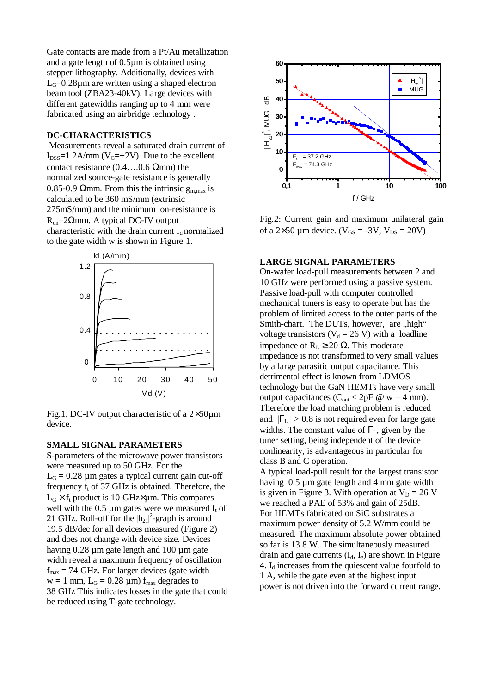Gate contacts are made from a Pt/Au metallization and a gate length of 0.5µm is obtained using stepper lithography. Additionally, devices with  $L<sub>G</sub>=0.28\mu$ m are written using a shaped electron beam tool (ZBA23-40kV). Large devices with different gatewidths ranging up to 4 mm were fabricated using an airbridge technology .

#### **DC-CHARACTERISTICS**

 Measurements reveal a saturated drain current of  $I_{DSS}=1.2$ A/mm ( $V_G=+2V$ ). Due to the excellent contact resistance  $(0.4...0.6 \Omega_{mm})$  the normalized source-gate resistance is generally 0.85-0.9  $\Omega$ mm. From this the intrinsic  $g_{m,max}$  is calculated to be 360 mS/mm (extrinsic 275mS/mm) and the minimum on-resistance is  $R_{on} = 2Ωmm$ . A typical DC-IV output characteristic with the drain current  $I_d$  normalized to the gate width w is shown in Figure 1.



Fig.1: DC-IV output characteristic of a 2×50µm device.

### **SMALL SIGNAL PARAMETERS**

S-parameters of the microwave power transistors were measured up to 50 GHz. For the  $L_G = 0.28 \mu m$  gates a typical current gain cut-off frequency  $f_t$  of 37 GHz is obtained. Therefore, the  $L_G \times f_t$  product is 10 GHz $\times \mu$ m. This compares well with the  $0.5 \mu m$  gates were we measured  $f_t$  of 21 GHz. Roll-off for the  $|h_{21}|^2$ -graph is around 19.5 dB/dec for all devices measured (Figure 2) and does not change with device size. Devices having 0.28  $\mu$ m gate length and 100  $\mu$ m gate width reveal a maximum frequency of oscillation  $f_{\text{max}} = 74$  GHz. For larger devices (gate width  $w = 1$  mm,  $L_G = 0.28 \mu m$  f<sub>max</sub> degrades to 38 GHz This indicates losses in the gate that could be reduced using T-gate technology.



Fig.2: Current gain and maximum unilateral gain of a  $2\times50$  µm device. ( $V_{GS} = -3V$ ,  $V_{DS} = 20V$ )

## **LARGE SIGNAL PARAMETERS**

On-wafer load-pull measurements between 2 and 10 GHz were performed using a passive system. Passive load-pull with computer controlled mechanical tuners is easy to operate but has the problem of limited access to the outer parts of the Smith-chart. The DUTs, however, are "high" voltage transistors ( $V_d = 26$  V) with a loadline impedance of  $R<sub>L</sub>$  ≥ 20 Ω. This moderate impedance is not transformed to very small values by a large parasitic output capacitance. This detrimental effect is known from LDMOS technology but the GaN HEMTs have very small output capacitances ( $C_{\text{out}} < 2pF \omega$  w = 4 mm). Therefore the load matching problem is reduced and  $|\Gamma_L| > 0.8$  is not required even for large gate widths. The constant value of  $\Gamma_{\rm L}$ , given by the tuner setting, being independent of the device nonlinearity, is advantageous in particular for class B and C operation. A typical load-pull result for the largest transistor having 0.5 um gate length and 4 mm gate width is given in Figure 3. With operation at  $V_D = 26$  V we reached a PAE of 53% and gain of 25dB. For HEMTs fabricated on SiC substrates a

maximum power density of 5.2 W/mm could be measured. The maximum absolute power obtained so far is 13.8 W. The simultaneously measured drain and gate currents  $(I_d, I_g)$  are shown in Figure 4.  $I_d$  increases from the quiescent value fourfold to 1 A, while the gate even at the highest input power is not driven into the forward current range.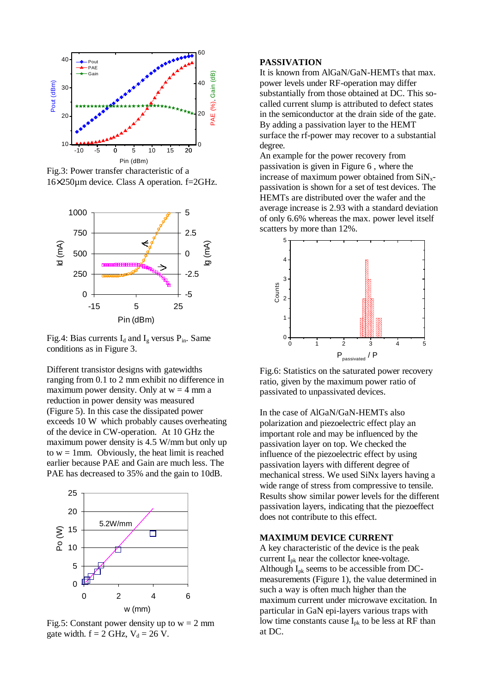

Fig.3: Power transfer characteristic of a 16×250µm device. Class A operation. f=2GHz.



Fig.4: Bias currents  $I_d$  and  $I_g$  versus  $P_{in}$ . Same conditions as in Figure 3.

Different transistor designs with gatewidths ranging from 0.1 to 2 mm exhibit no difference in maximum power density. Only at  $w = 4$  mm a reduction in power density was measured (Figure 5). In this case the dissipated power exceeds 10 W which probably causes overheating of the device in CW-operation. At 10 GHz the maximum power density is 4.5 W/mm but only up to  $w = 1$  mm. Obviously, the heat limit is reached earlier because PAE and Gain are much less. The PAE has decreased to 35% and the gain to 10dB.



Fig.5: Constant power density up to  $w = 2$  mm gate width.  $f = 2$  GHz,  $V_d = 26$  V.

## **PASSIVATION**

It is known from AlGaN/GaN-HEMTs that max. power levels under RF-operation may differ substantially from those obtained at DC. This socalled current slump is attributed to defect states in the semiconductor at the drain side of the gate. By adding a passivation layer to the HEMT surface the rf-power may recover to a substantial degree.

An example for the power recovery from passivation is given in Figure 6 , where the increase of maximum power obtained from  $\text{SiN}_{\text{y}}$ passivation is shown for a set of test devices. The HEMTs are distributed over the wafer and the average increase is 2.93 with a standard deviation of only 6.6% whereas the max. power level itself scatters by more than 12%.



Fig.6: Statistics on the saturated power recovery ratio, given by the maximum power ratio of passivated to unpassivated devices.

In the case of AlGaN/GaN-HEMTs also polarization and piezoelectric effect play an important role and may be influenced by the passivation layer on top. We checked the influence of the piezoelectric effect by using passivation layers with different degree of mechanical stress. We used SiNx layers having a wide range of stress from compressive to tensile. Results show similar power levels for the different passivation layers, indicating that the piezoeffect does not contribute to this effect.

#### **MAXIMUM DEVICE CURRENT**

A key characteristic of the device is the peak current Ipk near the collector knee-voltage. Although Ipk seems to be accessible from DCmeasurements (Figure 1), the value determined in such a way is often much higher than the maximum current under microwave excitation. In particular in GaN epi-layers various traps with low time constants cause  $I_{pk}$  to be less at RF than at DC.